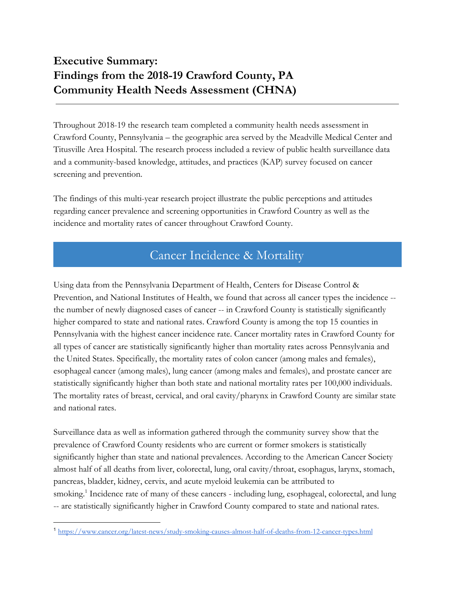## **Executive Summary: Findings from the 2018-19 Crawford County, PA Community Health Needs Assessment (CHNA)**

Throughout 2018-19 the research team completed a community health needs assessment in Crawford County, Pennsylvania – the geographic area served by the Meadville Medical Center and Titusville Area Hospital. The research process included a review of public health surveillance data and a community-based knowledge, attitudes, and practices (KAP) survey focused on cancer screening and prevention.

The findings of this multi-year research project illustrate the public perceptions and attitudes regarding cancer prevalence and screening opportunities in Crawford Country as well as the incidence and mortality rates of cancer throughout Crawford County.

## Cancer Incidence & Mortality

Using data from the Pennsylvania Department of Health, Centers for Disease Control & Prevention, and National Institutes of Health, we found that across all cancer types the incidence - the number of newly diagnosed cases of cancer -- in Crawford County is statistically significantly higher compared to state and national rates. Crawford County is among the top 15 counties in Pennsylvania with the highest cancer incidence rate. Cancer mortality rates in Crawford County for all types of cancer are statistically significantly higher than mortality rates across Pennsylvania and the United States. Specifically, the mortality rates of colon cancer (among males and females), esophageal cancer (among males), lung cancer (among males and females), and prostate cancer are statistically significantly higher than both state and national mortality rates per 100,000 individuals. The mortality rates of breast, cervical, and oral cavity/pharynx in Crawford County are similar state and national rates.

Surveillance data as well as information gathered through the community survey show that the prevalence of Crawford County residents who are current or former smokers is statistically significantly higher than state and national prevalences. According to the American Cancer Society almost half of all deaths from liver, colorectal, lung, oral cavity/throat, esophagus, larynx, stomach, pancreas, bladder, kidney, cervix, and acute myeloid leukemia can be attributed to smoking.<sup>1</sup> Incidence rate of many of these cancers - including lung, esophageal, colorectal, and lung -- are statistically significantly higher in Crawford County compared to state and national rates.

<sup>1</sup> <https://www.cancer.org/latest-news/study-smoking-causes-almost-half-of-deaths-from-12-cancer-types.html>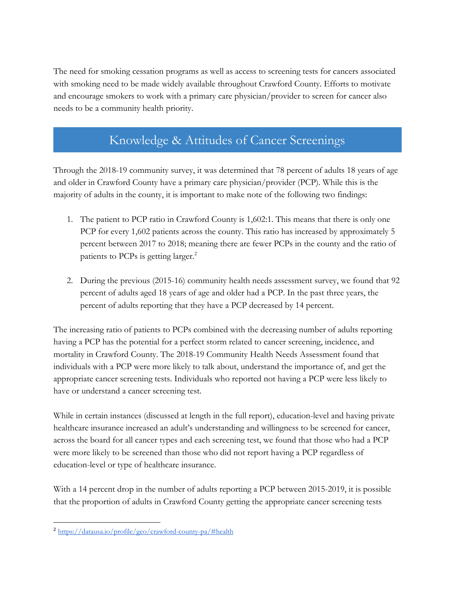The need for smoking cessation programs as well as access to screening tests for cancers associated with smoking need to be made widely available throughout Crawford County. Efforts to motivate and encourage smokers to work with a primary care physician/provider to screen for cancer also needs to be a community health priority.

## Knowledge & Attitudes of Cancer Screenings

Through the 2018-19 community survey, it was determined that 78 percent of adults 18 years of age and older in Crawford County have a primary care physician/provider (PCP). While this is the majority of adults in the county, it is important to make note of the following two findings:

- 1. The patient to PCP ratio in Crawford County is 1,602:1. This means that there is only one PCP for every 1,602 patients across the county. This ratio has increased by approximately 5 percent between 2017 to 2018; meaning there are fewer PCPs in the county and the ratio of patients to PCPs is getting larger.<sup>2</sup>
- 2. During the previous (2015-16) community health needs assessment survey, we found that 92 percent of adults aged 18 years of age and older had a PCP. In the past three years, the percent of adults reporting that they have a PCP decreased by 14 percent.

The increasing ratio of patients to PCPs combined with the decreasing number of adults reporting having a PCP has the potential for a perfect storm related to cancer screening, incidence, and mortality in Crawford County. The 2018-19 Community Health Needs Assessment found that individuals with a PCP were more likely to talk about, understand the importance of, and get the appropriate cancer screening tests. Individuals who reported not having a PCP were less likely to have or understand a cancer screening test.

While in certain instances (discussed at length in the full report), education-level and having private healthcare insurance increased an adult's understanding and willingness to be screened for cancer, across the board for all cancer types and each screening test, we found that those who had a PCP were more likely to be screened than those who did not report having a PCP regardless of education-level or type of healthcare insurance.

With a 14 percent drop in the number of adults reporting a PCP between 2015-2019, it is possible that the proportion of adults in Crawford County getting the appropriate cancer screening tests

<sup>2</sup> <https://datausa.io/profile/geo/crawford-county-pa/#health>